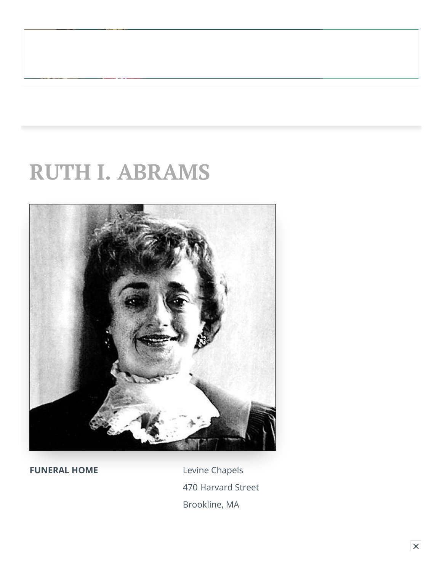# **RUTH I. ABRAMS**



**FUNERAL HOME** Levine Chapels 470 Harvard Street Brookline, MA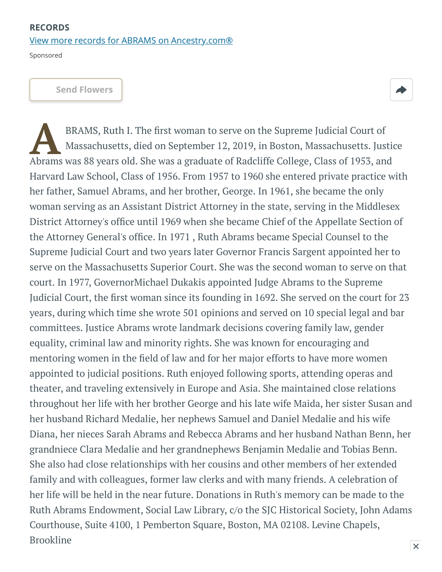#### **RECORDS** [View more records for ABRAMS on Ancestry.com®](https://adclick.g.doubleclick.net/pcs/click?xai=AKAOjsszjDcmuFpy_skvsoEMj8Jb-JU9EmD3aKIAuS_lii-e671g8rNexwDoUn4CgjKa6PkfQxHvE2BhTXg7Uy3nGM7UeK7XHR01cK0rnhemmVkXzwVF8kcuJy8JyYdCTCqqBnLhIfOPLivVqtpATl-Jx_2wtqxh376LTuEXX7mAX2xDkHdgByLQ0xDQ7rgkvqCP6QDt1IJB81YXNjOJTEaIF6kqtKLbBOldoEjr8R70kH2tQVbdd146oDYlBHUMD3yyZeAAViIPatb0ng_OSmmsyvkEHO9Zx0_h_OSFKNgdhu1c-QQQcuuQo7HaKZ6vfbWzIfp-FywxKqQhLoVxr4JJu8aXS7MX0f66&sig=Cg0ArKJSzL1kBR7L-l6gEAE&fbs_aeid=[gw_fbsaeid]&urlfix=1&adurl=https://prf.hn/click/camref:1101l3yjc/adref:81298/destination:https://www.ancestry.com/cs/partner-records%3FflowId%3DpartnersBirth%26gsfn%3DRUTH%26gsln%3DABRAMS)

Sponsored

**[Send Flowers](https://sympathy.legacy.com/en-us/funeral-flowers/name/ruth-abrams-funeral-flowers/p193945699/?affiliateId=1232&pm=205)**



BRAMS, Ruth I. The first woman to serve on the Supreme Judicial Court of Massachusetts, died on September 12, 2019, in Boston, Massachusetts. Justia<br>Abrams was 88 years old. She was a graduate of Radcliffe College, Class o BRAMS, Ruth I. The first woman to serve on the Supreme Judicial Court of Massachusetts, died on September 12, 2019, in Boston, Massachusetts. Justice Harvard Law School, Class of 1956. From 1957 to 1960 she entered private practice with her father, Samuel Abrams, and her brother, George. In 1961, she became the only woman serving as an Assistant District Attorney in the state, serving in the Middlesex District Attorney's office until 1969 when she became Chief of the Appellate Section of the Attorney General's office. In 1971 , Ruth Abrams became Special Counsel to the Supreme Judicial Court and two years later Governor Francis Sargent appointed her to serve on the Massachusetts Superior Court. She was the second woman to serve on that court. In 1977, GovernorMichael Dukakis appointed Judge Abrams to the Supreme Judicial Court, the first woman since its founding in 1692. She served on the court for 23 years, during which time she wrote 501 opinions and served on 10 special legal and bar committees. Justice Abrams wrote landmark decisions covering family law, gender equality, criminal law and minority rights. She was known for encouraging and mentoring women in the field of law and for her major efforts to have more women appointed to judicial positions. Ruth enjoyed following sports, attending operas and theater, and traveling extensively in Europe and Asia. She maintained close relations throughout her life with her brother George and his late wife Maida, her sister Susan and her husband Richard Medalie, her nephews Samuel and Daniel Medalie and his wife Diana, her nieces Sarah Abrams and Rebecca Abrams and her husband Nathan Benn, her grandniece Clara Medalie and her grandnephews Benjamin Medalie and Tobias Benn. She also had close relationships with her cousins and other members of her extended family and with colleagues, former law clerks and with many friends. A celebration of her life will be held in the near future. Donations in Ruth's memory can be made to the Ruth Abrams Endowment, Social Law Library, c/o the SJC Historical Society, John Adams Courthouse, Suite 4100, 1 Pemberton Square, Boston, MA 02108. Levine Chapels, Brookline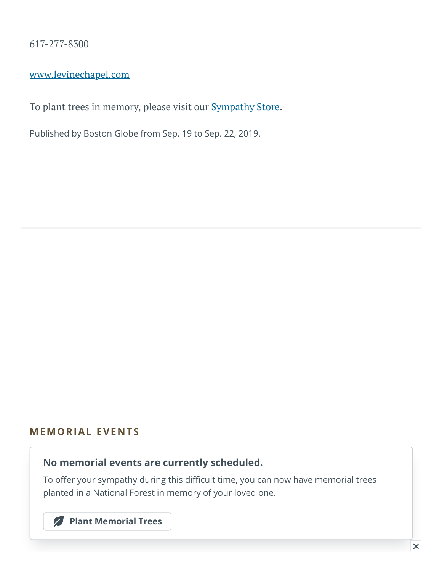617-277-8300

[www.levinechapel.com](http://www.levinechapel.com/)

To plant trees in memory, please visit our **[Sympathy](https://sympathy.legacy.com/en-us/funeral-flowers/productdetails/?type=obituary&p=193945699&pn=ruth-abrams&affiliateId=1232&v=01&sku=tre-tim&pm=240) Store**.

Published by Boston Globe from Sep. 19 to Sep. 22, 2019.

#### **MEMORIAL EVENTS**

#### **No memorial events are currently scheduled.**

To offer your sympathy during this difficult time, you can now have memorial trees planted in a National Forest in memory of your loved one.

**[Plant Memorial Trees](https://sympathy.legacy.com/en-us/funeral-flowers/productdetails/?type=obituary&p=193945699&pn=ruth-abrams&affiliateId=1232&v=01&sku=tre-tim&pm=271)**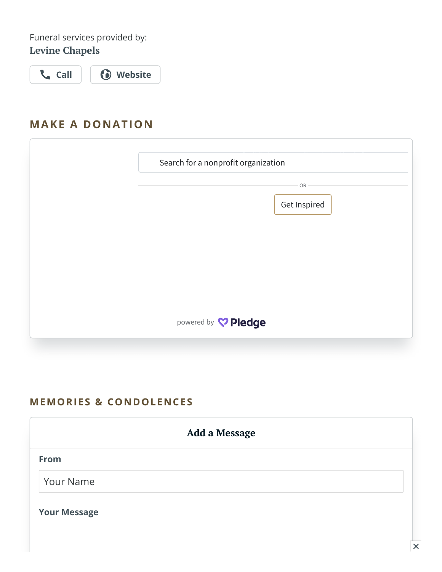Funeral services provided by: **Levine Chapels**

**[Call](tel:6172778300) [Website](https://www.dignitymemorial.com/funeral-homes/brookline-ma/levine-chapels/7323?utm_campaign=legacytraffic&utm_source=legacy&utm_medium=referral)**

### **MAKE A DONATION**

<span id="page-3-0"></span>

| Search for a nonprofit organization |
|-------------------------------------|
| OR                                  |
| Get Inspired                        |
|                                     |
|                                     |
|                                     |
| powered by <b>C</b> Pledge          |
|                                     |

#### **MEMORIES & CONDOLENCES**

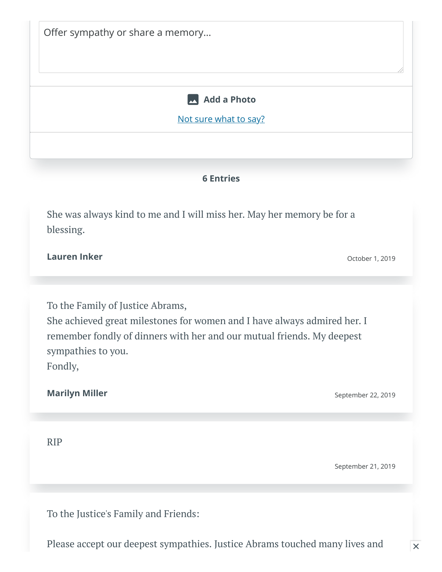| <b>Add a Photo</b>                                                                                                                                                                                           |                    |
|--------------------------------------------------------------------------------------------------------------------------------------------------------------------------------------------------------------|--------------------|
| Not sure what to say?                                                                                                                                                                                        |                    |
|                                                                                                                                                                                                              |                    |
|                                                                                                                                                                                                              |                    |
| <b>6 Entries</b>                                                                                                                                                                                             |                    |
| She was always kind to me and I will miss her. May her memory be for a<br>blessing.                                                                                                                          |                    |
| <b>Lauren Inker</b>                                                                                                                                                                                          | October 1, 2019    |
|                                                                                                                                                                                                              |                    |
| To the Family of Justice Abrams,<br>She achieved great milestones for women and I have always admired her. I<br>remember fondly of dinners with her and our mutual friends. My deepest<br>sympathies to you. |                    |
| Fondly,                                                                                                                                                                                                      |                    |
| <b>Marilyn Miller</b>                                                                                                                                                                                        | September 22, 2019 |
|                                                                                                                                                                                                              |                    |
| <b>RIP</b>                                                                                                                                                                                                   |                    |
|                                                                                                                                                                                                              | September 21, 2019 |

Please accept our deepest sympathies. Justice Abrams touched many lives and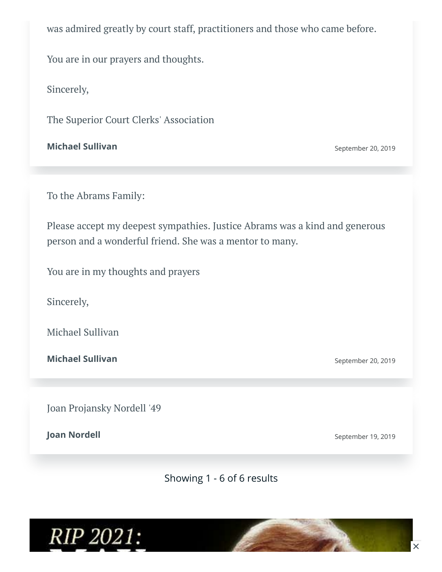was admired greatly by court staff, practitioners and those who came before.

You are in our prayers and thoughts.

Sincerely,

The Superior Court Clerks' Association

**Michael Sullivan** September 20, 2019

To the Abrams Family:

Please accept my deepest sympathies. Justice Abrams was a kind and generous person and a wonderful friend. She was a mentor to many.

You are in my thoughts and prayers

Sincerely,

Michael Sullivan

**Michael Sullivan** September 20, 2019

Joan Projansky Nordell '49

**Joan Nordell** September 19, 2019

Showing 1 - 6 of 6 results

RIP 2021: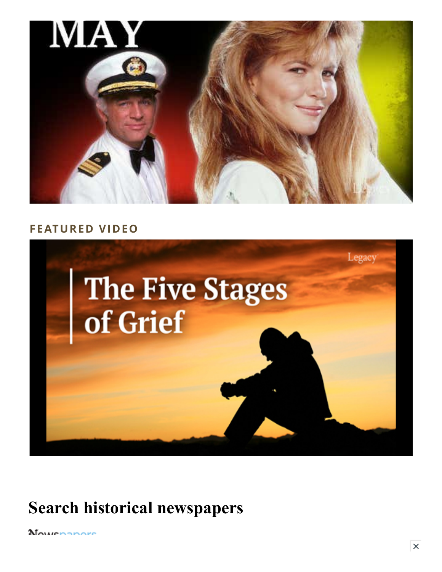

#### **FEATURED VIDEO**



## **Search historical newspapers**

Mournanore